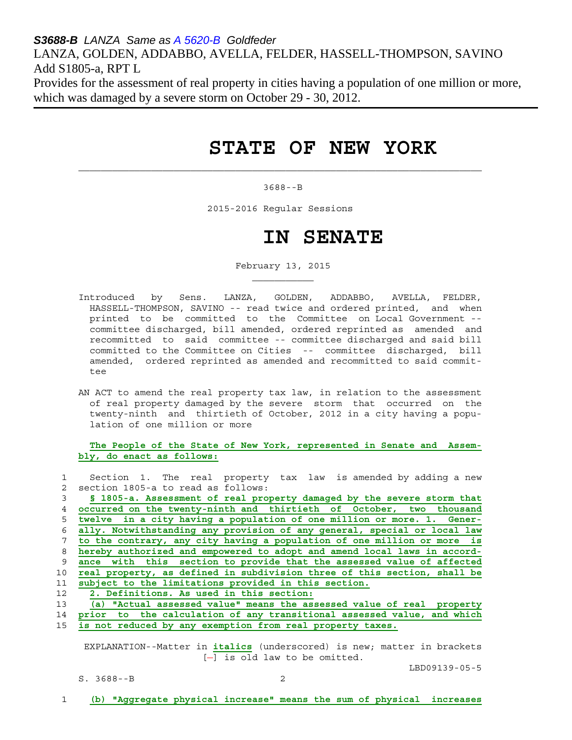*S3688-B LANZA Same as A 5620-B Goldfeder*  LANZA, GOLDEN, ADDABBO, AVELLA, FELDER, HASSELL-THOMPSON, SAVINO Add S1805-a, RPT L

Provides for the assessment of real property in cities having a population of one million or more, which was damaged by a severe storm on October 29 - 30, 2012.

# **STATE OF NEW YORK**

#### 3688--B

2015-2016 Regular Sessions

 $\mathcal{L}_\text{max}$ 

 $\mathcal{L}_\text{max}$  and  $\mathcal{L}_\text{max}$  and  $\mathcal{L}_\text{max}$  and  $\mathcal{L}_\text{max}$ 

## **IN SENATE**

February 13, 2015

- Introduced by Sens. LANZA, GOLDEN, ADDABBO, AVELLA, FELDER, HASSELL-THOMPSON, SAVINO -- read twice and ordered printed, and when printed to be committed to the Committee on Local Government - committee discharged, bill amended, ordered reprinted as amended and recommitted to said committee -- committee discharged and said bill committed to the Committee on Cities -- committee discharged, bill amended, ordered reprinted as amended and recommitted to said commit tee
- AN ACT to amend the real property tax law, in relation to the assessment of real property damaged by the severe storm that occurred on the twenty-ninth and thirtieth of October, 2012 in a city having a popu lation of one million or more

 **The People of the State of New York, represented in Senate and Assem bly, do enact as follows:**

|             | Section 1. The real property tax law is amended by adding a new          |
|-------------|--------------------------------------------------------------------------|
| $2^{\circ}$ | section 1805-a to read as follows:                                       |
| 3           | § 1805-a. Assessment of real property damaged by the severe storm that   |
| 4           | occurred on the twenty-ninth and thirtieth of October, two thousand      |
| 5           | twelve in a city having a population of one million or more. 1. Gener-   |
| 6           | ally. Notwithstanding any provision of any general, special or local law |
|             | to the contrary, any city having a population of one million or more is  |
| 8           | hereby authorized and empowered to adopt and amend local laws in accord- |
| 9           | ance with this section to provide that the assessed value of affected    |
| 10          | real property, as defined in subdivision three of this section, shall be |
| 11          | subject to the limitations provided in this section.                     |
| 12          | 2. Definitions. As used in this section:                                 |
| 13          | (a) "Actual assessed value" means the assessed value of real property    |
| 14          | prior to the calculation of any transitional assessed value, and which   |
| 15          | is not reduced by any exemption from real property taxes.                |
|             |                                                                          |

 EXPLANATION--Matter in **italics** (underscored) is new; matter in brackets  $[-]$  is old law to be omitted.

LBD09139-05-5

S. 3688--B 2

1 **(b) "Aggregate physical increase" means the sum of physical increases**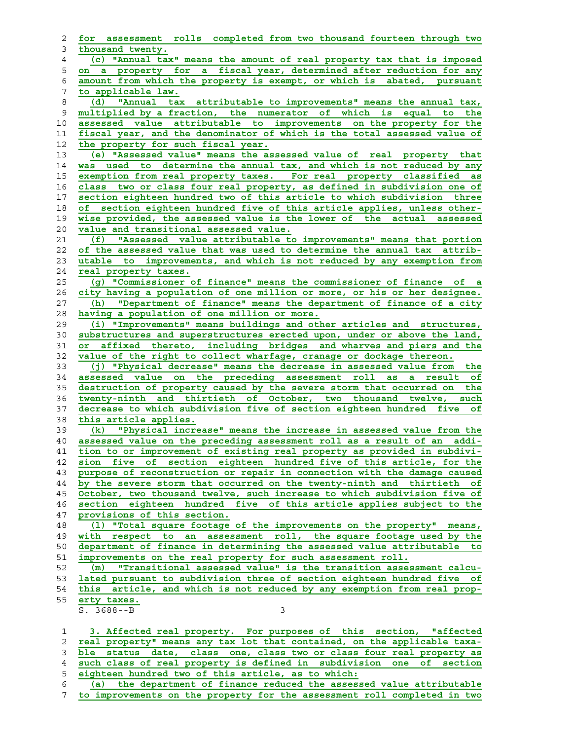| 2              | for assessment rolls completed from two thousand fourteen through two      |
|----------------|----------------------------------------------------------------------------|
| 3              | thousand twenty.                                                           |
| $\overline{4}$ | (c) "Annual tax" means the amount of real property tax that is imposed     |
| 5              | on a property for a fiscal year, determined after reduction for any        |
| 6              | amount from which the property is exempt, or which is abated, pursuant     |
| 7              | to applicable law.                                                         |
| 8              | "Annual tax attributable to improvements" means the annual tax,<br>(d)     |
| 9              | multiplied by a fraction, the numerator of which is<br>equal to<br>the     |
|                |                                                                            |
| 10             | assessed value attributable to improvements on the property for the        |
| 11             | fiscal year, and the denominator of which is the total assessed value of   |
| 12             | the property for such fiscal year.                                         |
| 13             | (e) "Assessed value" means the assessed value of real property that        |
| 14             | was used to determine the annual tax, and which is not reduced by any      |
| 15             | exemption from real property taxes. For real property classified as        |
| 16             | class two or class four real property, as defined in subdivision one of    |
| 17             | section eighteen hundred two of this article to which subdivision three    |
| 18             | of section eighteen hundred five of this article applies, unless other-    |
| 19             | wise provided, the assessed value is the lower of the actual assessed      |
| 20             | value and transitional assessed value.                                     |
| 21             | "Assessed value attributable to improvements" means that portion<br>(f)    |
| 22             | of the assessed value that was used to determine the annual tax attrib-    |
| 23             | utable to improvements, and which is not reduced by any exemption from     |
| 24             | real property taxes.                                                       |
| 25             | (g) "Commissioner of finance" means the commissioner of finance of a       |
| 26             | city having a population of one million or more, or his or her designee.   |
| 27             | (h) "Department of finance" means the department of finance of a city      |
| 28             | having a population of one million or more.                                |
| 29             | (i) "Improvements" means buildings and other articles and structures,      |
| 30             | substructures and superstructures erected upon, under or above the land,   |
| 31             | or affixed thereto, including bridges and wharves and piers and the        |
| 32             | value of the right to collect wharfage, cranage or dockage thereon.        |
|                |                                                                            |
| 33             | (j) "Physical decrease" means the decrease in assessed value from the      |
| 34             | assessed value on the preceding assessment roll as a result of             |
| 35             | destruction of property caused by the severe storm that occurred on<br>the |
| 36             | twenty-ninth and thirtieth of October, two thousand twelve, such           |
| 37             | decrease to which subdivision five of section eighteen hundred five of     |
| 38             | this article applies.                                                      |
| 39             | (k) "Physical increase" means the increase in assessed value from the      |
| 40             | assessed value on the preceding assessment roll as a result of an addi-    |
| 41             | tion to or improvement of existing real property as provided in subdivi-   |
| 42             | sion five of section eighteen hundred five of this article, for the        |
| 43             | purpose of reconstruction or repair in connection with the damage caused   |
| 44             | by the severe storm that occurred on the twenty-ninth and thirtieth of     |
| 45             | October, two thousand twelve, such increase to which subdivision five of   |
| 46             | section eighteen hundred five of this article applies subject to the       |
| 47             | provisions of this section.                                                |
| 48             | (1) "Total square footage of the improvements on the property" means,      |
| 49             | with respect to an assessment roll, the square footage used by the         |
| 50             | department of finance in determining the assessed value attributable to    |
| 51             | improvements on the real property for such assessment roll.                |
| 52             | "Transitional assessed value" is the transition assessment calcu-<br>(m)   |
| 53             | lated pursuant to subdivision three of section eighteen hundred five of    |
| 54             | this article, and which is not reduced by any exemption from real prop-    |
| 55             | erty taxes.                                                                |
|                | $S. 3688--B$<br>3                                                          |
|                |                                                                            |
| 1              | 3. Affected real property. For purposes of this section, "affected         |
| 2              | real property" means any tax lot that contained, on the applicable taxa-   |
| 3              | status date, class one, class two or class four real property as<br>ble    |
| 4              | such class of real property is defined in subdivision one of<br>section    |
|                |                                                                            |

- **eighteen hundred two of this article, as to which:**
- **(a) the department of finance reduced the assessed value attributable to improvements on the property for the assessment roll completed in two**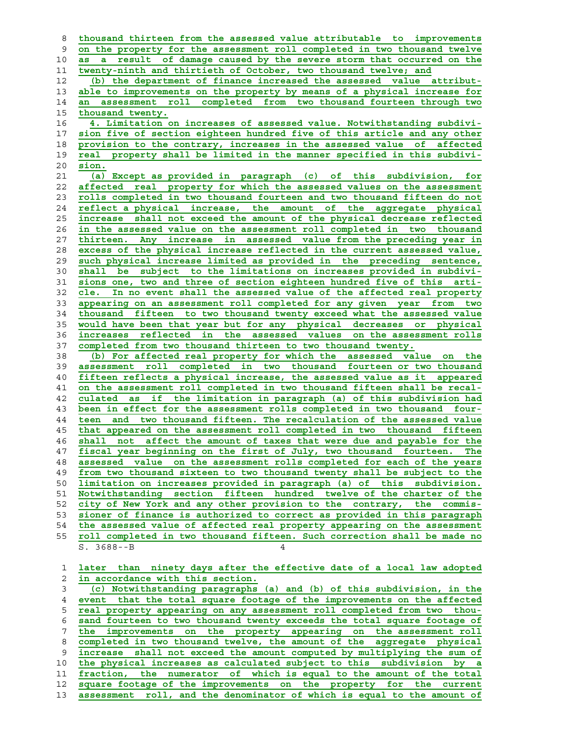**thousand thirteen from the assessed value attributable to improvements on the property for the assessment roll completed in two thousand twelve as a result of damage caused by the severe storm that occurred on the twenty-ninth and thirtieth of October, two thousand twelve; and (b) the department of finance increased the assessed value attribut- able to improvements on the property by means of a physical increase for an assessment roll completed from two thousand fourteen through two thousand twenty. 4. Limitation on increases of assessed value. Notwithstanding subdivi- sion five of section eighteen hundred five of this article and any other provision to the contrary, increases in the assessed value of affected real property shall be limited in the manner specified in this subdivi- sion. (a) Except as provided in paragraph (c) of this subdivision, for affected real property for which the assessed values on the assessment rolls completed in two thousand fourteen and two thousand fifteen do not reflect a physical increase, the amount of the aggregate physical increase shall not exceed the amount of the physical decrease reflected in the assessed value on the assessment roll completed in two thousand thirteen. Any increase in assessed value from the preceding year in excess of the physical increase reflected in the current assessed value, such physical increase limited as provided in the preceding sentence, shall be subject to the limitations on increases provided in subdivi- sions one, two and three of section eighteen hundred five of this arti- cle. In no event shall the assessed value of the affected real property appearing on an assessment roll completed for any given year from two thousand fifteen to two thousand twenty exceed what the assessed value would have been that year but for any physical decreases or physical increases reflected in the assessed values on the assessment rolls completed from two thousand thirteen to two thousand twenty. (b) For affected real property for which the assessed value on the assessment roll completed in two thousand fourteen or two thousand fifteen reflects a physical increase, the assessed value as it appeared on the assessment roll completed in two thousand fifteen shall be recal- culated as if the limitation in paragraph (a) of this subdivision had been in effect for the assessment rolls completed in two thousand four- teen and two thousand fifteen. The recalculation of the assessed value that appeared on the assessment roll completed in two thousand fifteen shall not affect the amount of taxes that were due and payable for the fiscal year beginning on the first of July, two thousand fourteen. The assessed value on the assessment rolls completed for each of the years from two thousand sixteen to two thousand twenty shall be subject to the limitation on increases provided in paragraph (a) of this subdivision. Notwithstanding section fifteen hundred twelve of the charter of the city of New York and any other provision to the contrary, the commis- sioner of finance is authorized to correct as provided in this paragraph the assessed value of affected real property appearing on the assessment roll completed in two thousand fifteen. Such correction shall be made no**  $S. 3688 - -B$ **later than ninety days after the effective date of a local law adopted in accordance with this section. (c) Notwithstanding paragraphs (a) and (b) of this subdivision, in the event that the total square footage of the improvements on the affected real property appearing on any assessment roll completed from two thou- sand fourteen to two thousand twenty exceeds the total square footage of the improvements on the property appearing on the assessment roll completed in two thousand twelve, the amount of the aggregate physical increase shall not exceed the amount computed by multiplying the sum of the physical increases as calculated subject to this subdivision by a fraction, the numerator of which is equal to the amount of the total square footage of the improvements on the property for the current assessment roll, and the denominator of which is equal to the amount of**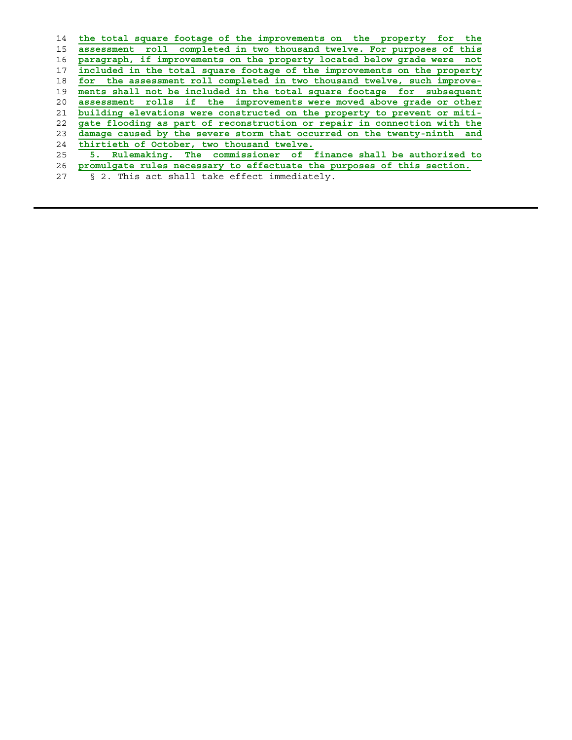| 14 | the total square footage of the improvements on the property for the     |
|----|--------------------------------------------------------------------------|
| 15 | assessment roll completed in two thousand twelve. For purposes of this   |
| 16 | paragraph, if improvements on the property located below grade were not  |
| 17 | included in the total square footage of the improvements on the property |
| 18 | for the assessment roll completed in two thousand twelve, such improve-  |
| 19 | ments shall not be included in the total square footage for subsequent   |
| 20 | assessment rolls if the improvements were moved above grade or other     |
| 21 | building elevations were constructed on the property to prevent or miti- |
| 22 | gate flooding as part of reconstruction or repair in connection with the |
| 23 | damage caused by the severe storm that occurred on the twenty-ninth and  |
| 24 | thirtieth of October, two thousand twelve.                               |
| 25 | Rulemaking. The commissioner of finance shall be authorized to<br>5.     |
| 26 | promulgate rules necessary to effectuate the purposes of this section.   |
| 27 | § 2. This act shall take effect immediately.                             |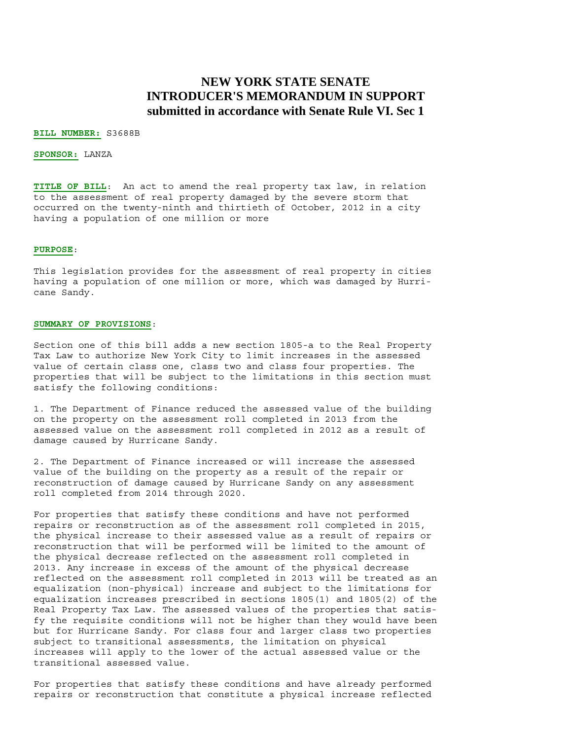### **NEW YORK STATE SENATE INTRODUCER'S MEMORANDUM IN SUPPORT submitted in accordance with Senate Rule VI. Sec 1**

#### **BILL NUMBER:** S3688B

#### **SPONSOR:** LANZA

**TITLE OF BILL**: An act to amend the real property tax law, in relation to the assessment of real property damaged by the severe storm that occurred on the twenty-ninth and thirtieth of October, 2012 in a city having a population of one million or more

#### **PURPOSE**:

This legislation provides for the assessment of real property in cities having a population of one million or more, which was damaged by Hurricane Sandy.

#### **SUMMARY OF PROVISIONS**:

Section one of this bill adds a new section 1805-a to the Real Property Tax Law to authorize New York City to limit increases in the assessed value of certain class one, class two and class four properties. The properties that will be subject to the limitations in this section must satisfy the following conditions:

1. The Department of Finance reduced the assessed value of the building on the property on the assessment roll completed in 2013 from the assessed value on the assessment roll completed in 2012 as a result of damage caused by Hurricane Sandy.

2. The Department of Finance increased or will increase the assessed value of the building on the property as a result of the repair or reconstruction of damage caused by Hurricane Sandy on any assessment roll completed from 2014 through 2020.

For properties that satisfy these conditions and have not performed repairs or reconstruction as of the assessment roll completed in 2015, the physical increase to their assessed value as a result of repairs or reconstruction that will be performed will be limited to the amount of the physical decrease reflected on the assessment roll completed in 2013. Any increase in excess of the amount of the physical decrease reflected on the assessment roll completed in 2013 will be treated as an equalization (non-physical) increase and subject to the limitations for equalization increases prescribed in sections 1805(1) and 1805(2) of the Real Property Tax Law. The assessed values of the properties that satisfy the requisite conditions will not be higher than they would have been but for Hurricane Sandy. For class four and larger class two properties subject to transitional assessments, the limitation on physical increases will apply to the lower of the actual assessed value or the transitional assessed value.

For properties that satisfy these conditions and have already performed repairs or reconstruction that constitute a physical increase reflected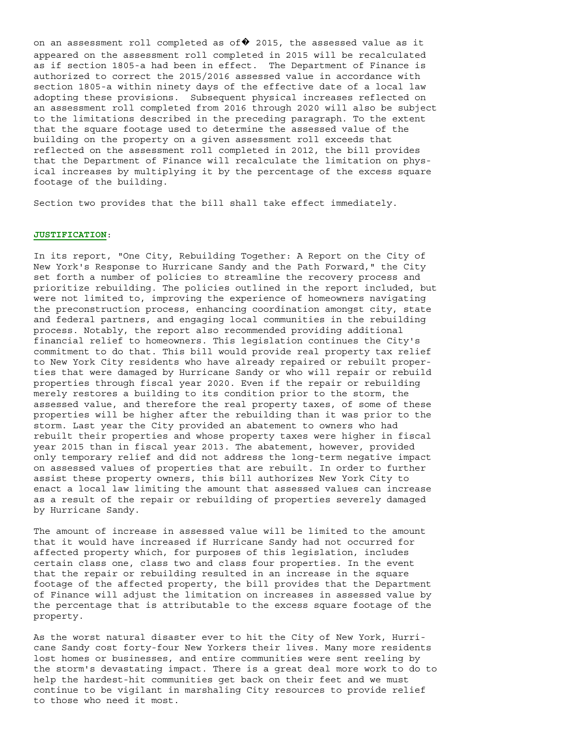on an assessment roll completed as of  $\blacklozenge$  2015, the assessed value as it appeared on the assessment roll completed in 2015 will be recalculated as if section 1805-a had been in effect. The Department of Finance is authorized to correct the 2015/2016 assessed value in accordance with section 1805-a within ninety days of the effective date of a local law adopting these provisions. Subsequent physical increases reflected on an assessment roll completed from 2016 through 2020 will also be subject to the limitations described in the preceding paragraph. To the extent that the square footage used to determine the assessed value of the building on the property on a given assessment roll exceeds that reflected on the assessment roll completed in 2012, the bill provides that the Department of Finance will recalculate the limitation on physical increases by multiplying it by the percentage of the excess square footage of the building.

Section two provides that the bill shall take effect immediately.

#### **JUSTIFICATION**:

In its report, "One City, Rebuilding Together: A Report on the City of New York's Response to Hurricane Sandy and the Path Forward," the City set forth a number of policies to streamline the recovery process and prioritize rebuilding. The policies outlined in the report included, but were not limited to, improving the experience of homeowners navigating the preconstruction process, enhancing coordination amongst city, state and federal partners, and engaging local communities in the rebuilding process. Notably, the report also recommended providing additional financial relief to homeowners. This legislation continues the City's commitment to do that. This bill would provide real property tax relief to New York City residents who have already repaired or rebuilt properties that were damaged by Hurricane Sandy or who will repair or rebuild properties through fiscal year 2020. Even if the repair or rebuilding merely restores a building to its condition prior to the storm, the assessed value, and therefore the real property taxes, of some of these properties will be higher after the rebuilding than it was prior to the storm. Last year the City provided an abatement to owners who had rebuilt their properties and whose property taxes were higher in fiscal year 2015 than in fiscal year 2013. The abatement, however, provided only temporary relief and did not address the long-term negative impact on assessed values of properties that are rebuilt. In order to further assist these property owners, this bill authorizes New York City to enact a local law limiting the amount that assessed values can increase as a result of the repair or rebuilding of properties severely damaged by Hurricane Sandy.

The amount of increase in assessed value will be limited to the amount that it would have increased if Hurricane Sandy had not occurred for affected property which, for purposes of this legislation, includes certain class one, class two and class four properties. In the event that the repair or rebuilding resulted in an increase in the square footage of the affected property, the bill provides that the Department of Finance will adjust the limitation on increases in assessed value by the percentage that is attributable to the excess square footage of the property.

As the worst natural disaster ever to hit the City of New York, Hurricane Sandy cost forty-four New Yorkers their lives. Many more residents lost homes or businesses, and entire communities were sent reeling by the storm's devastating impact. There is a great deal more work to do to help the hardest-hit communities get back on their feet and we must continue to be vigilant in marshaling City resources to provide relief to those who need it most.